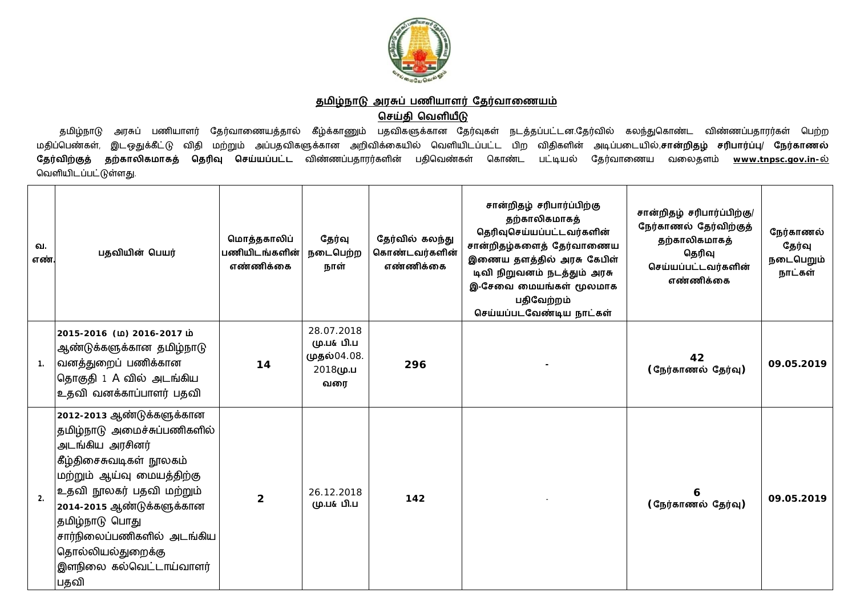

## <u>தமிழ்நாடு அரசுப் பணியாளர் தேர்வாணையம்</u>

## **ெசதி ெவளய**

தமிழ்நாடு அரசுப் பணியாளர் தேர்வாணையத்தால் கீழ்க்காணும் பதவிகளுக்கான தேர்வுகள் நடத்தப்பட்டன.தேர்வில் கலந்துகொண்ட விண்ணப்பதாரர்கள் பெற்ற மதிப்பெண்கள், இடஒதுக்கீட்டு விதி மற்றும் அப்பதவிகளுக்கான அறிவிக்கையில் வெளியிடப்பட்ட பிற விதிகளின் அடிப்படையில்,**சான்றிதழ் சரிபார்ப்பு/ நேர்காணல் தேர்விற்குத் தற்காலிகமாகத் தெரிவு செய்யப்பட்ட** விண்ணப்பதாரர்களின் பதிவெண்கள் கொண்ட பட்டியல் தேர்வாணைய வலைதளம் <u>[www.tnpsc.gov.in-](http://www.tnpsc.gov.in-)ல்</u> வெளியிடப்பட்டுள்ளது.

| வ.<br>எண்      | பதவியின் பெயர்                                                                                                                                                                                                                                                                                       | மொத்தகாலிப்<br>பணியிடங்களின்<br>எண்ணிக்கை | தேர்வு<br>நடைபெற்ற<br>நாள்                                 | தேர்வில் கலந்து<br>கொண்டவர்களின்<br>எண்ணிக்கை | சான்றிதழ் சரிபார்ப்பிற்கு<br>தற்காலிகமாகத்<br>தெரிவுசெய்யப்பட்டவர்களின்<br>சான்றிதழ்களைத் தேர்வாணைய<br>இணைய தளத்தில் அரசு கேபிள்<br>டிவி நிறுவனம் நடத்தும் அரசு<br>இ-சேவை மையங்கள் மூலமாக<br>பதிவேற்றம்<br>செய்யப்படவேண்டிய நாட்கள் | சான்றிதழ் சரிபார்ப்பிற்கு/<br>நேர்காணல் தேர்விற்குத்<br>தற்காலிகமாகத்<br>தெரிவு<br>செய்யப்பட்டவர்களின்<br>எண்ணிக்கை | நேர்காணல்<br>தேர்வு<br>நடைபெறும்<br>நாட்கள் |
|----------------|------------------------------------------------------------------------------------------------------------------------------------------------------------------------------------------------------------------------------------------------------------------------------------------------------|-------------------------------------------|------------------------------------------------------------|-----------------------------------------------|-------------------------------------------------------------------------------------------------------------------------------------------------------------------------------------------------------------------------------------|---------------------------------------------------------------------------------------------------------------------|---------------------------------------------|
| 1 <sub>1</sub> | 2015-2016 (ம) 2016-2017 ம்<br>ஆண்டுக்களுக்கான தமிழ்நாடு<br> வனத்துறைப் பணிக்கான<br>தொகுதி 1 A வில் அடங்கிய<br>உதவி வனக்காப்பாளர் பதவி                                                                                                                                                                | 14                                        | 28.07.2018<br>மு.ப& பி.ப<br>முதல்04.08.<br>2018மு.ப<br>வரை | 296                                           |                                                                                                                                                                                                                                     | 42<br>(நேர்காணல் தேர்வு)                                                                                            | 09.05.2019                                  |
| 2.             | 2012-2013 ஆண்டுக்களுக்கான<br>தமிழ்நாடு அமைச்சுப்பணிகளில்<br>அடங்கிய அரசினர்<br>கீழ்திசைசுவடிகள் நூலகம்<br>மற்றும் ஆய்வு மையத்திற்கு<br>உதவி நூலகர் பதவி மற்றும்<br>2014-2015 ஆண்டுக்களுக்கான<br>தமிழ்நாடு பொது<br>சார்நிலைப்பணிகளில் அடங்கிய<br>தொல்லியல்துறைக்கு<br>இளநிலை கல்வெட்டாய்வாளர்<br>பதவி | $\overline{2}$                            | 26.12.2018<br>மு.ப& பி.ப                                   | 142                                           |                                                                                                                                                                                                                                     | (நேர்காணல் தேர்வு)                                                                                                  | 09.05.2019                                  |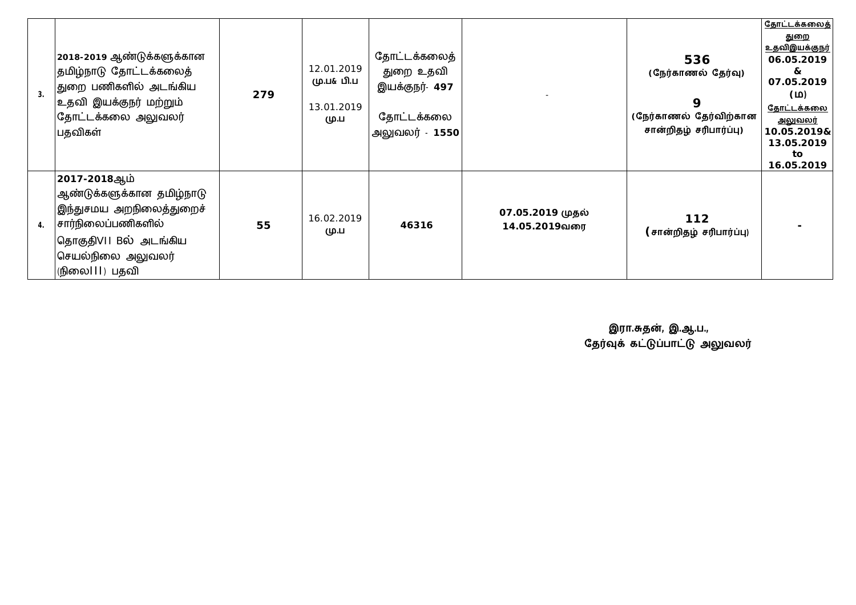| 3. | 2018-2019 ஆண்டுக்களுக்கான<br>தமிழ்நாடு தோட்டக்கலைத்<br>துறை பணிகளில் அடங்கிய<br> உதவி இயக்குநர் மற்றும்<br>கோட்டக்கலை அலுவலர் <br>பதவிகள்                              | 279 | 12.01.2019<br>மு.ப& பி.ப<br>13.01.2019<br>மு.ப | தோட்டக்கலைத்<br>துறை உதவி<br>இயக்குநர்- 497<br>தோட்டக்கலை<br>அலுவலர் - 1550 |                                   | 536<br>(நேர்காணல் தேர்வு)<br>9<br>(நேர்காணல் தேர்விற்கான<br>சான்றிதழ் சரிபார்ப்பு) | <u>தோட்டக்கலைத்</u><br><u>துறை</u><br><u>உதவிஇயக்குநர்</u><br>06.05.2019<br>&<br>07.05.2019<br>(M)<br><u>தோட்டக்கலை</u><br><u>அலுவலர்</u><br>10.05.2019&<br>13.05.2019<br>to<br>16.05.2019 |
|----|------------------------------------------------------------------------------------------------------------------------------------------------------------------------|-----|------------------------------------------------|-----------------------------------------------------------------------------|-----------------------------------|------------------------------------------------------------------------------------|--------------------------------------------------------------------------------------------------------------------------------------------------------------------------------------------|
| 4. | 2017-2018ஆம்<br> ஆண்டுக்களுக்கான தமி <u>ழ்</u> நாடு<br> இந்துசமய அறநிலைத்துறைச்<br>சார்நிலைப்பணிகளில்<br> தொகுதி∨II Bல் அடங்கிய<br>செயல்நிலை அலுவலர்<br>(நிலை   ) பதவி | 55  | 16.02.2019<br>மு.ப                             | 46316                                                                       | 07.05.2019 முதல்<br>14.05.2019வரை | 112<br>(சான்றிதழ் சரிபார்ப்பு)                                                     |                                                                                                                                                                                            |

 **இரா.த}, இ.ஆ.ப.,** தேர்வுக் கட்டுப்பாட்டு அலுவலர்